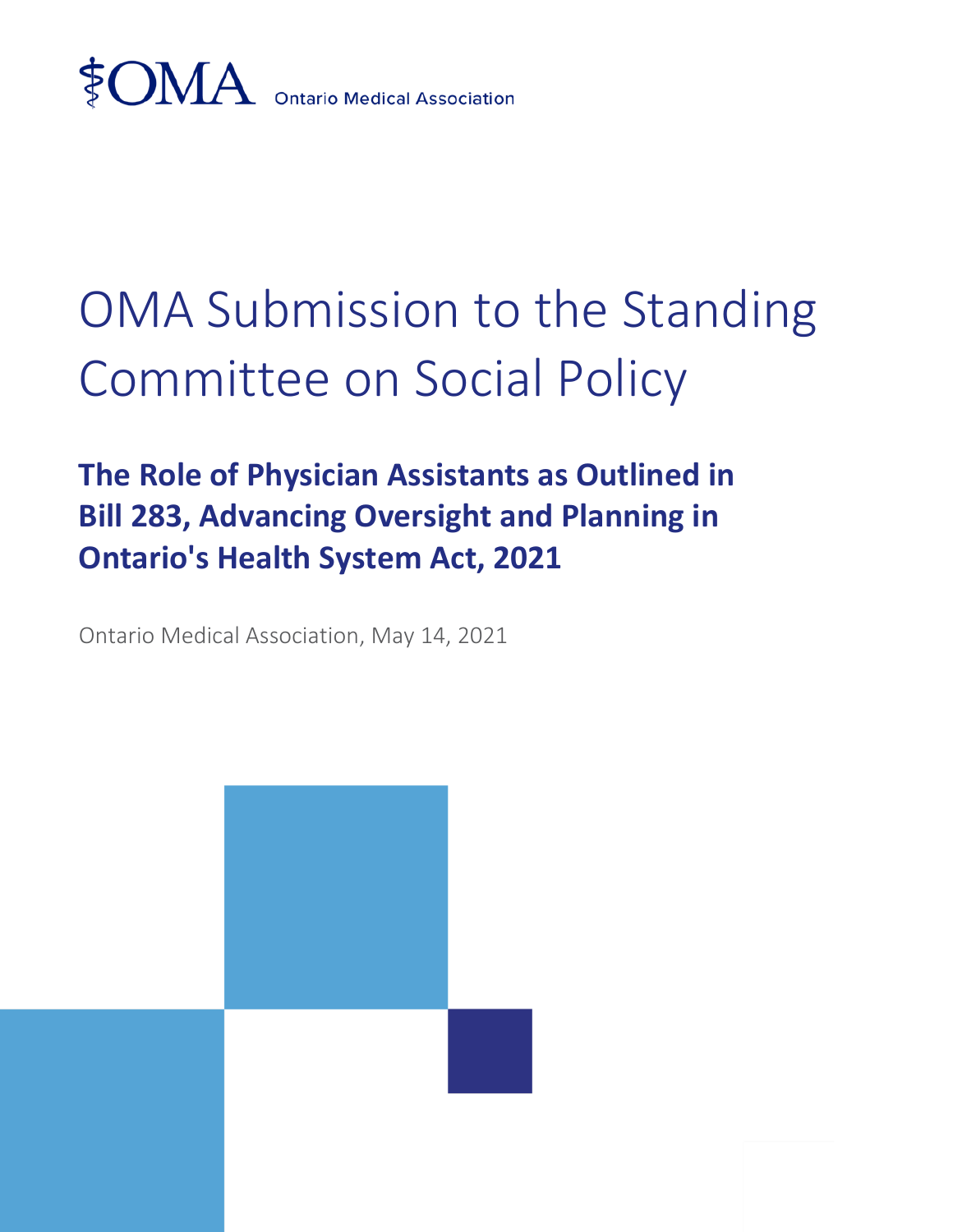

## OMA Submission to the Standing Committee on Social Policy

## **The Role of Physician Assistants as Outlined in Bill 283, Advancing Oversight and Planning in Ontario's Health System Act, 2021**

Ontario Medical Association, May 14, 2021